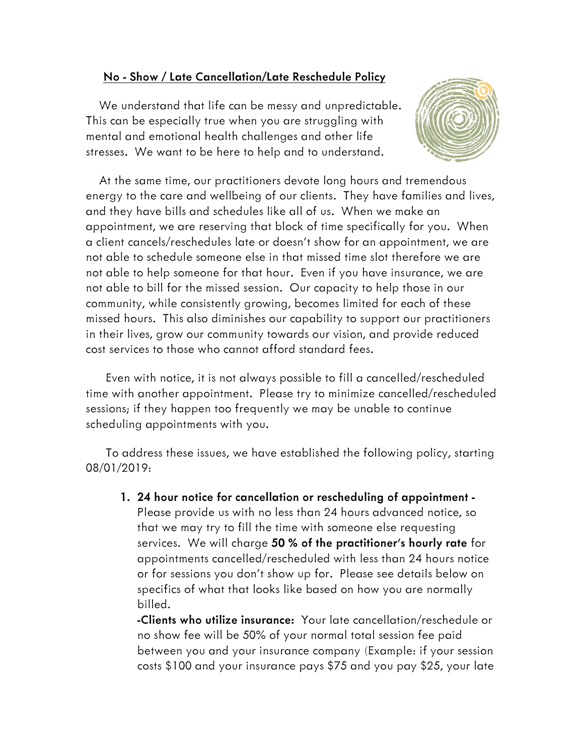## **No - Show / Late Cancellation/Late Reschedule Policy**

 *We understand that life can be messy and unpredictable. This can be especially true when you are struggling with mental and emotional health challenges and other life stresses. We want to be here to help and to understand.* 



 *At the same time, our practitioners devote long hours and tremendous energy to the care and wellbeing of our clients. They have families and lives, and they have bills and schedules like all of us. When we make an appointment, we are reserving that block of time specifically for you. When a client cancels/reschedules late or doesn't show for an appointment, we are not able to schedule someone else in that missed time slot therefore we are not able to help someone for that hour. Even if you have insurance, we are not able to bill for the missed session. Our capacity to help those in our community, while consistently growing, becomes limited for each of these missed hours. This also diminishes our capability to support our practitioners in their lives, grow our community towards our vision, and provide reduced cost services to those who cannot afford standard fees.* 

 *Even with notice, it is not always possible to fill a cancelled/rescheduled time with another appointment. Please try to minimize cancelled/rescheduled sessions; if they happen too frequently we may be unable to continue scheduling appointments with you.* 

 *To address these issues, we have established the following policy, starting 08/01/2019:* 

**1. 24 hour notice for cancellation or rescheduling of appointment -** *Please provide us with no less than 24 hours advanced notice, so that we may try to fill the time with someone else requesting services. We will charge* **50 % of the practitioner's hourly rate** *for appointments cancelled/rescheduled with less than 24 hours notice or for sessions you don't show up for. Please see details below on specifics of what that looks like based on how you are normally billed.* 

**-Clients who utilize insurance:** *Your late cancellation/reschedule or no show fee will be 50% of your normal total session fee paid between you and your insurance company (Example: if your session costs \$100 and your insurance pays \$75 and you pay \$25, your late*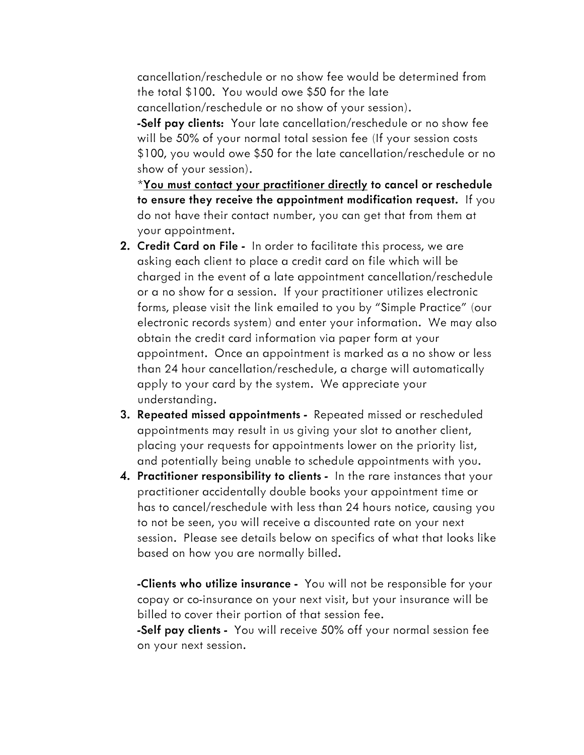*cancellation/reschedule or no show fee would be determined from the total \$100. You would owe \$50 for the late cancellation/reschedule or no show of your session).*  **-Self pay clients:** *Your late cancellation/reschedule or no show fee will be 50% of your normal total session fee (If your session costs \$100, you would owe \$50 for the late cancellation/reschedule or no show of your session).* 

*\****You must contact your practitioner directly to cancel or reschedule to ensure they receive the appointment modification request.** *If you do not have their contact number, you can get that from them at your appointment.* 

- **2. Credit Card on File -** *In order to facilitate this process, we are asking each client to place a credit card on file which will be charged in the event of a late appointment cancellation/reschedule or a no show for a session. If your practitioner utilizes electronic forms, please visit the link emailed to you by "Simple Practice" (our electronic records system) and enter your information. We may also obtain the credit card information via paper form at your appointment. Once an appointment is marked as a no show or less than 24 hour cancellation/reschedule, a charge will automatically apply to your card by the system. We appreciate your understanding.*
- **3. Repeated missed appointments** *Repeated missed or rescheduled appointments may result in us giving your slot to another client, placing your requests for appointments lower on the priority list, and potentially being unable to schedule appointments with you.*
- **4. Practitioner responsibility to clients** *In the rare instances that your practitioner accidentally double books your appointment time or has to cancel/reschedule with less than 24 hours notice, causing you to not be seen, you will receive a discounted rate on your next session. Please see details below on specifics of what that looks like based on how you are normally billed.*

**-Clients who utilize insurance -** *You will not be responsible for your copay or co-insurance on your next visit, but your insurance will be billed to cover their portion of that session fee.* 

**-Self pay clients -** *You will receive 50% off your normal session fee on your next session.*